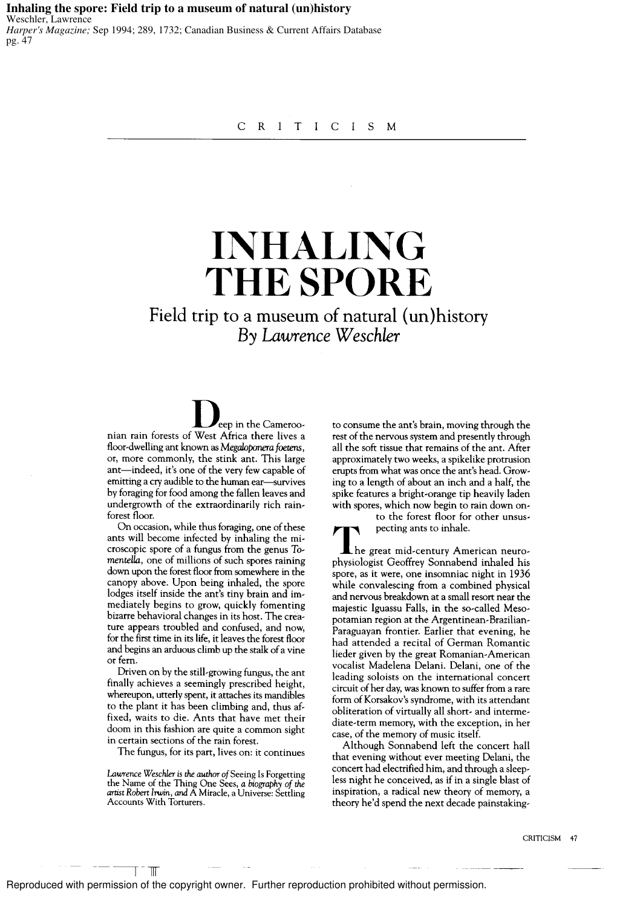#### **Inhaling the spore: Field trip to a museum of natural (un)history**

Field trip to a museum of natural (un)history<br>
1994; 289, 1732; Canadian Business & Current Affairs Database<br>
C R I T I C I S M Weschler, Lawrence *Harper's Magazine;* Sep 1994; 289, 1732; Canadian Business & Current Affairs Database pg. 47

# INHALING THE SPORE

# Field trip to a museum of natural (un)history By Lawrence Weschler

eep in the Cameroonian rain forests of West Africa there lives a floor-dwelling ant known as Megaloponera foetens, or, more commonly, the stink ant. This large ant-indeed, it's one of the very few capable of emitting a cry audible to the human ear—survives by foraging for food among the fallen leaves and undergrowth of the extraordinarily rich rainforest floor.

On occasion, while thus foraging, one of these ants will become infected by inhaling the microscopic spore of a fungus from the genus Tomentella, one of millions of such spores raining down upon the forest floor from somewhere in the canopy above. Upon being inhaled, the spore lodges itself inside the ant's tiny brain and immediately begins to grow, quickly fomenting bizarre behavioral changes in its host. The creature appears troubled and confused, and now, for the first time in its life, it leaves the forest floor and begins an arduous climb up the stalk of a vine or fern.

Driven on by the still-growing fungus, the ant finally achieves a seemingly prescribed height, whereupon, utterly spent, it attaches its mandibles to the plant it has been climbing and, thus affixed, waits to die. Ants that have met their doom in this fashion are quite a common sight in certain sections of the rain forest.

The fungus, for its part, lives on: it continues

Lawrence Weschler is the author of Seeing Is Forgetting the Name of the Thing One Sees, a biography of the artist Robert Irwin, and <sup>A</sup> Miracle, <sup>a</sup> Universe: Settling Accounts With Torturers.

 $\mathbb T$ 

to consume the ant's brain, moving through the rest of the nervous system and presently through all the soft tissue that remains of the ant. After approximately two weeks, a spikelike protrusion erupts from what was once the ant's head. Growing to a length of about an inch and a half, the spike features a bright-orange tip heavily laden with spores, which now begin to rain down on-

> to the forest floor for other unsuspecting ants to inhale.

Lhe great mid-century American neurophysiologist Geoffrey Sonnabend inhaled his spore, as it were, one insomniac night in 1936 while convalescing from a combined physical and nervous breakdown at a small resort near the majestic Iguassu Falls, in the so-called Mesopotamian region at the Argentinean-Brazilian-Paraguayan frontier. Earlier that evening, he had attended a recital of German Romantic lieder given by the great Romanian-American vocalist Madelena Delani. Delani, one of the leading soloists on the international concert circuit of her day, was known to suffer from a rare form of Korsakov's syndrome, with its attendant obliteration of virtually all short- and intermediate-term memory, with the exception, in her case, of the memory of music itself.

Although Sonnabend left the concert hall that evening without ever meeting Delani, the concert hadelectrified him, and throughasleepconcert had electrified him, and through a sleep-<br>less night he conceived, as if in a single blast of inspiration, a radical new theory of memory, a theory he'd spend the next decade painstaking-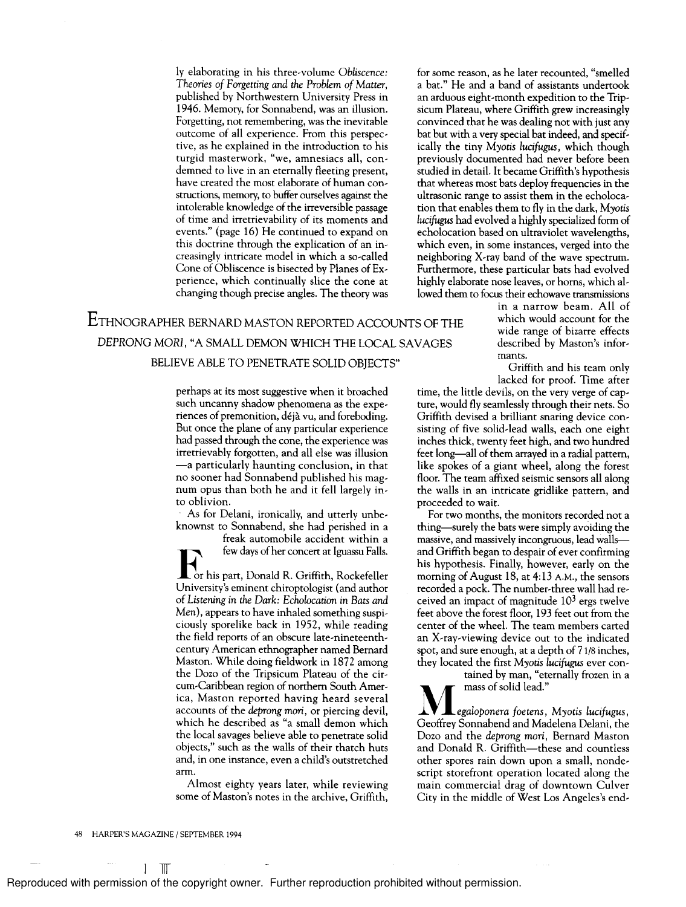ly elaborating in his three-volume Obliscence: Theories of Forgetting and the Problem of Matter, published by Northwestern University Press in 1946. Memory, for Sonnabend, was an illusion. Forgetting, not remembering, was the inevitable outcome of all experience. From this perspective, as he explained in the introduction to his turgid masterwork, "we, amnesiacs all, condemned to live in an eternally fleeting present, have created the most elaborate of human constructions, memory, to buffer ourselves against the intolerable knowledge of the irreversible passage of time and irretrievability of its moments and events." (page 16) He continued to expand on this doctrine through the explication of an increasingly intricate model in which a so-called Cone of Obliscence is bisected by Planes of Experience, which continually slice the cone at changing though precise angles. The theory was for some reason, as he later recounted, "smelled a bat." He and a band of assistants undertook an arduous eight-month expedition to the Tripsicum Plateau, where Griffith grew increasingly convinced that he was dealing not with just any bat but with a very special bat indeed, and specifically the tiny Myotis lucifugus, which though previously documented had never before been studied in detail. It became Griffith's hypothesis that whereas most bats deploy frequencies in the ultrasonic range to assist them in the echolocation that enables them to fly in the dark, Myotis lucifugus had evolved a highly specialized form of echolocation based on ultraviolet wavelengths, which even, in some instances, verged into the neighboring X-ray band of the wave spectrum. Furthermore, these particular bats had evolved highly elaborate nose leaves, or horns, which allowed them to focus their echowave transmissions

ETHNOGRAPHER BERNARD MASTON REPORTED ACCOUNTSOFTHE DEPRONG MORI, "A SMALL DEMON WHICH THE LOCAL SAVAGES BELIEVE ABLE TO PENETRATE SOLID OBJECTS"

> perhapsat its most suggestive when it broached such uncanny shadow phenomena as the experiences of premonition, déja vu, and foreboding. But once the plane of any particular experience had passed through the cone, the experience was irretrievably forgotten, andall else was illusion —aparticularly haunting conclusion, in that no sooner had Sonnabend published his magnum opus than both he and it fell largely into oblivion.

> As for Delani, ironically, and utterly unbeknownst to Sonnabend, she had perished in a

freak automobile accident within a few days of her concert at Iguassu Falls. or his part, Donald R. Griffith, Rockefeller University's eminent chiroptologist (and author of Listening in the Dark: Echolocation in Bats and Men), appears to have inhaled something suspiciously sporelike back in 1952, while reading the field reports of an obscure late-nineteenthcentury American ethnographer named Bernard Maston. While doing fieldwork in 1872 among the Dozo of the Tripsicum Plateau of the circum-Caribbean region of northern South America, Maston reported having heard several accounts of the deprong mori, or piercing devil, which he described as "a small demon which the local savages believe able to penetrate solid objects," such as the walls of their thatch huts and, in one instance, even a child's outstretched arm.

Almost eighty years later, while reviewing some of Maston's notes in the archive, Griffith, in a narrow beam. All of which would account for the wide range of bizarre effects described by Maston's informants.

Griffith and his team only lacked for proof. Time after

time, the little devils, on the very verge of capture, would fly seamlessly through their nets. So Griffith devised a brilliant snaring device consisting of five solid-lead walls, each one eight inches thick, twenty feet high, and two hundred feet long-all of them arrayed in a radial pattern, like spokes of a giant wheel, along the forest floor. The team affixed seismic sensors all along the walls in an intricate gridlike pattern, and proceeded to wait.

For two months, the monitors recorded not a thing—surely the bats were simply avoiding the massive, and massively incongruous, lead walls and Griffith began to despair of ever confirming his hypothesis. Finally, however, early on the morning of August 18, at 4:13 A.M., the sensors recorded a pock. The number-three wall had received an impact of magnitude  $10<sup>3</sup>$  ergs twelve feet above the forest floor, 193 feet out from the center of the wheel. The team members carted an X-ray-viewing device out to the indicated spot, and sure enough, at a depth of  $71/8$  inches, they located the first Myotis lucifugus ever con-

tained by man, "eternally frozen in a massof solid lead."

egaloponera foetens, Myotis lucifugus, Geoffrey Sonnabend and Madelena Delani, the Dozo and the deprong mori, Bernard Maston and Donald R. Griffith—these and countless other spores rain down upon a small, nondescript storefront operation located along the main commercial drag of downtown Culver City in the middle of West Los Angeles's end-

 $\mathbb{I}$ 

 $\mathbf{I}$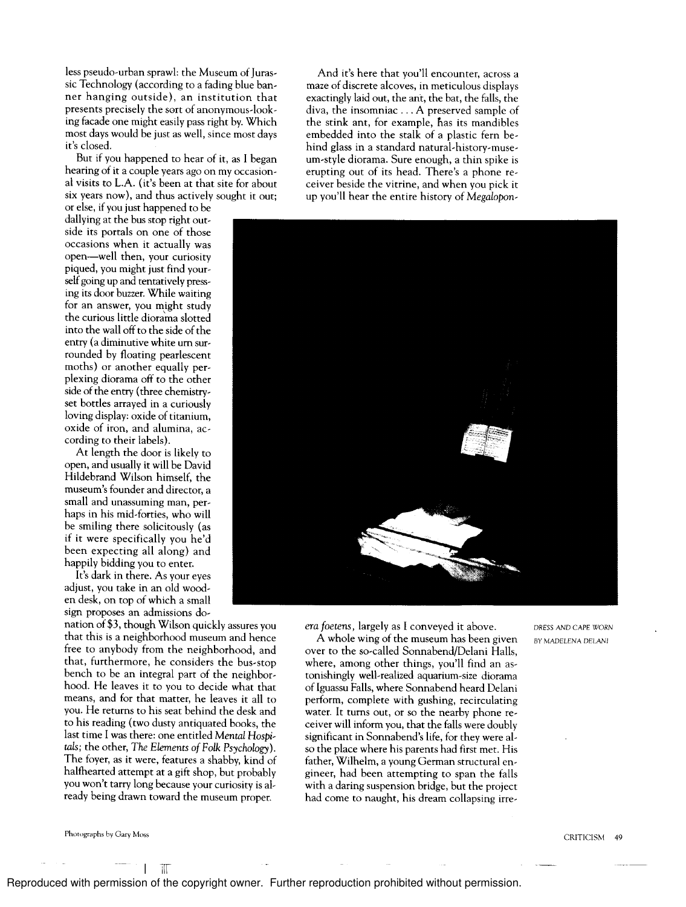less pseudo-urban sprawl: the Museum of Jurassic Technology (according to a fading blue banner hanging outside), an institution that presents precisely the sort of anonymous-looking facade one might easily pass right by. Which most days would be just as well, since most days it's closed.

But if you happened to hear of it, as I began hearing of it a couple years ago on my occasional visits to L.A. (it's been at that site for about six years now), and thus actively sought it out;

or else, if you just happened to be dallyingat the bus stop right outside its portals on one of those occasions when it actually was open—well then, your curiosity piqued, you might just find yourself going up and tentatively pressing its door buzzer. While waiting for an answer, you might study the curious little diorama slotted into the wall off to the side of the entry (a diminutive white urn surrounded by floating pearlescent moths) or another equally perplexing diorama off to the other side of the entry (three chemistryset bottles arrayed in a curiously loving display: oxide of titanium, oxide of iron, and alumina, according to their labels).

At length the door is likely to open, and usually it will be David Hildebrand Wilson himself, the museum's founder and director, a small and unassuming man, perhaps in his mid-forties, who will be smiling there solicitously (as if it were specifically you he'd been expecting all along) and happily bidding you to enter.

It's dark in there. As your eyes adjust, you take in an old wooden desk, on top of which a small sign proposes an admissions do-

nation of \$3, though Wilson quickly assures you that this is a neighborhood museum and hence free to anybody from the neighborhood, and that, furthermore, he considers the bus-stop bench to be an integral part of the neighborhood. He leaves it to you to decide what that means, and for that matter, he leaves it all to you. He returns to his seat behind the desk and to his reading (two dusty antiquated books, the last time I was there: one entitled Mental Hospitals; the other, The Elements of Folk Psychology). The foyer, as it were, features a shabby, kind of halfhearted attemptata gift shop, but probably halfhearted attempt at a gift shop, but probably<br>you won't tarry long because your curiosity is already being drawn toward the museum proper.

 $\mathbb{H}$ 

Photographs by Gary Moss

Andit's here that you'll encounter, across a maze of discrete alcoves, in meticulous displays exactingly laid out, the ant, the bat, the falls, the diva, the insomniac ... A preserved sample of the stink ant, for example, has its mandibles embedded into the stalk of a plastic fern behind glass in a standard natural-history-museum-style diorama. Sure enough, a thin spike is erupting out of its head. There's a phone receiver beside the vitrine, and when you pick it up you'll hear the entire history of Megalopon-



era foetens, largely as <sup>I</sup> conveyed it above.

A whole wing of the museum has been given over to the so-called Sonnabend/Delani Halls, where, among other things, you'll find an astonishingly well-realized aquarium-size diorama of Iguassu Falls, where Sonnabend heard Delani perform, complete with gushing, recirculating water. It turns out, or so the nearby phone receiver will inform you, that the falls were doubly significant in Sonnabend's life, for they were also the place where his parents had first met. His father, Wilhelm, a young German structural enracter, whiching a young Oemain structural engineer, had been attempting to span the falls<br>with a daring suspension bridge, but the project with a daring suspension bridge, but the project<br>had come to naught, his dream collapsing irreDRESS AND CAPE WORN BY MADELENA DELANI

Reproduced with permission of the copyright owner. Further reproduction prohibited without permission.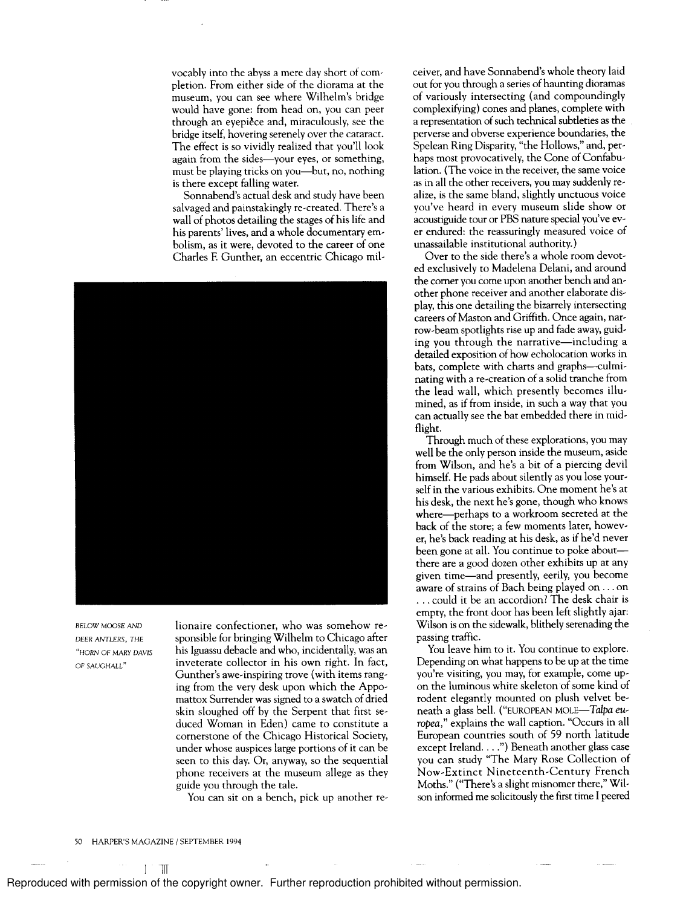vocably into the abyss a mere day short of completion. From either side of the diorama at the museum, you can see where Wilhelm's bridge would have gone: from head on, you can peer through an eyepiéce and, miraculously, see the bridge itself, hovering serenely over the cataract. The effect is so vividly realized that you'll look again from the sides-your eyes, or something, must be playing tricks on you—but, no, nothing is there except falling water.

Sonnabend's actual desk and study have been salvaged and painstakingly re-created. There's a wall of photos detailing the stages of his life and his parents' lives, and a whole documentary embolism, as it were, devoted to the career of one Charles F Gunther, an eccentric Chicago mil-



BELOW MOOSE AND DEER ANTLERS, THE "HORN OF MARY DAVIS OF SAUGHALL"

lionaire confectioner, who was somehow responsible for bringing Wilhelm to Chicago after his Iguassu debacle and who, incidentally, was an inveterate collector in his own right. In fact, Gunther's awe-inspiring trove (with items ranging from the very desk upon which the Appomattox Surrender was signed to a swatch of dried skin sloughed off by the Serpent that first seduced Woman in Eden) came to constitute <sup>a</sup> cornerstone of the Chicago Historical Society, under whose auspices large portions of it can be seen to this day. Or, anyway, so the sequential phone receivers at the museum allege as they guide you through the tale.

You can sit on a bench, pick up another re-

ceiver, and have Sonnabend's whole theory laid out for you through a series of haunting dioramas of variously intersecting (and compoundingly complexifying) cones and planes, complete with a representation of such technical subtleties as the perverse and obverse experience boundaries, the Spelean Ring Disparity, "the Hollows," and, perhaps most provocatively, the Cone of Confabulation. (The voice in the receiver, the same voice as in all the other receivers, you may suddenly realize, is the same bland, slightly unctuous voice you've heard in every museum slide show or acoustiguide tour or PBS nature special you've ever endured: the reassuringly measured voice of unassailable institutional authority.)

Over to the side there's a whole room devoted exclusively to Madelena Delani, and around the corner you come upon another bench and another phone receiver and another elaborate display, this one detailing the bizarrely intersecting careers of Maston and Griffith. Once again, nartow-beam spotlights rise up and fade away, guiding you through the narrative—including a detailed exposition of how echolocation works in bats, complete with charts and graphs—culminating with a re-creation of a solid tranche from the lead wall, which presently becomes illumined, as if from inside, in such a way that you can actually see the bat embedded there in midflight.

Through much of these explorations, you may well be the only person inside the museum, aside from Wilson, and he's a bit of a piercing devil himself. He pads about silently as you lose yourself in the various exhibits. One moment he's at his desk, the next he's gone, though who knows where—perhaps to a workroom secreted at the back of the store; a few moments later, however, he's back readingat his desk, as if he'd never been gone at all. You continue to poke about there are a good dozen other exhibits up at any given time—and presently, eerily, you become aware of strains of Bach being played on  $\dots$  on ... could it be an accordion? The desk chair is empty, the front door has been left slightly ajar: Wilson is on the sidewalk, blithely serenading the passing traffic.

You leave him to it. You continue to explore. Depending on what happens to be up at the time you're visiting, you may, for example, come upon the luminous white skeleton of some kind of rodent elegantly mounted on plush velvet beneath a glass bell. ("EUROPEAN MOLE—Talpa europea," explains the wall caption. "Occurs in all European countries south of 59 north latitude except Ireland. . . .") Beneath another glass case you can study "The Mary Rose Collection of Now-Extinct Nineteenth-Century French Moths." ("There's a slight misnomer there," Wilson informed me solicitously the first time I peered

 $\mathbb{L}^{\infty}$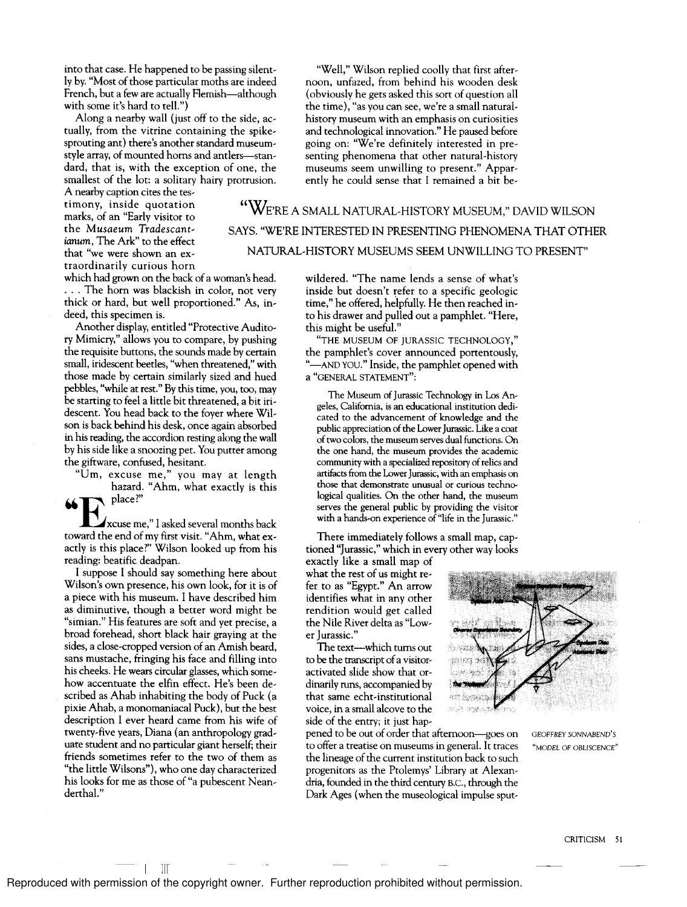into that case. He happened to be passing silently by. "Most of those particular mothsare indeed French, but a few are actually Flemish—although with some it's hard to tell.")

Along a nearby wall (just off to the side, actually, from the vitrine containing the spikesprouting ant) there's another standard museumstyle array, of mounted horns and antlers—standard, that is, with the exception of one, the smallest of the lot: a solitary hairy protrusion.

A nearby caption cites the testimony, inside quotation marks, of an "Early visitor to the Musaeum Tradescantianum, The Ark" to the effect that "we were shown an extraordinarily curious horn

which had grown on the back of a woman's head. ... The horn was blackish in color, not very thick or hard, but well proportioned." As, indeed, this specimen is.

Another display, entitled "Protective Auditoty Mimicry," allows you to compare, by pushing the requisite buttons, the sounds made by certain small, iridescent beetles, "when threatened," with those made by certain similarly sized and hued pebbles, "while at rest." By this time, you, too, may be starting to feel a little bit threatened, a bit iridescent. You head back to the foyer where Wilson is back behind his desk, once again absorbed in his reading, the accordion resting along the wall by his side like a snoozing pet. You putter among the giftware, confused, hesitant.

"Um, excuse me," you may at length hazard. "Ahm, what exactly is this  $\sum$  place?"

xcuse me," <sup>I</sup> asked several months back toward the end of my first visit. "Ahm, what exactly is this place?" Wilson looked up from his reading: beatific deadpan.

<sup>I</sup> suppose <sup>I</sup> should say something here about Wilson's own presence, his own look, for it is of <sup>a</sup> piece with his museum.I have described him as diminutive, though a better word might be "simian." His features are soft and yet precise, a broad forehead, short black hair graying at the sides, a close-cropped version of an Amish beard, sans mustache, fringing his face and filling into his cheeks. He wears circular glasses, which somehow accentuate the elfin effect. He's been described as Ahab inhabiting the body of Puck (a pixie Ahab, a monomaniacal Puck), but the best description <sup>I</sup> ever heard came from his wife of twenty-five years, Diana (an anthropology graduate student and noparticular giant herself; their friends sometimes refer to the two of them as "the little Wilsons"), who one day characterized his looks for me as those of "a pubescent Neanderthal."

 $\mathbb{H}$ 

"Well," Wilson replied coolly that first afternoon, unfazed, from behind his wooden desk (obviously he gets asked this sort of question all the time), "as you can see, we're a small naturalhistory museum with an emphasis on curiosities and technological innovation." He paused before going on: "We're definitely interested in presenting phenomena that other natural-history museums seem unwilling to present." Apparently he could sense that <sup>I</sup> remained a bit be-

## "WERE A SMALL NATURAL-HISTORY MUSEUM," DAVID WILSON SAYS. "WE'RE INTERESTED IN PRESENTING PHENOMENA THAT OTHER NATURAL-HISTORY MUSEUMS SEEM UNWILLING TO PRESENT"

wildered. "The name lends <sup>a</sup> sense of what's inside but doesn't refer to a specific geologic time," heoffered, helpfully. He then reached into his drawer and pulled out a pamphlet. "Here, this might be useful."

"THE MUSEUM OF JURASSIC TECHNOLOGY," the pamphlet's cover announced portentously, "ANDYOU."Inside, the pamphlet opened with a "GENERAL STATEMENT":

The Museum of Jurassic Technology in Los Angeles, California, is an educational institution dedicated to the advancement of knowledge and the public appreciation of the Lower Jurassic. Like a coat of two colors, the museum serves dual functions. On the one hand, the museum provides the academic community with a specialized repository of relics and artifacts from the Lower Jurassic, with an emphasis on those that demonstrate unusual or curious technological qualities. On the other hand, the museum serves the general public by providing the visitor with a hands-on experience of "life in the Jurassic."

There immediately follows a small map, captioned "Jurassic," which in every other way looks

exactly like a small map of what the rest of us might refer to as "Egypt." An arrow identifies what in any other rendition would get cailed the Nile River delta as "Lower Jurassic."

The text—which turnsout to be the transcript of a visitoractivated slide show that ordinarily runs, accompanied by that same echt-institutional voice, in a small alcove to the side of the entry; it just hap-

pened to be out of order that afternoon—goes on to offer a treatise on museums in general. It traces the lineage of the current institution back to such progenitors as the Ptolemys' Library at Alexandria, founded in the third century B.C., through the Dark Ages (when the museological impulse sput-

ANY CRITICISM SOLUTIONS

GEOFFREY SONNABEND'S "MODEL OF OBLISCENCE"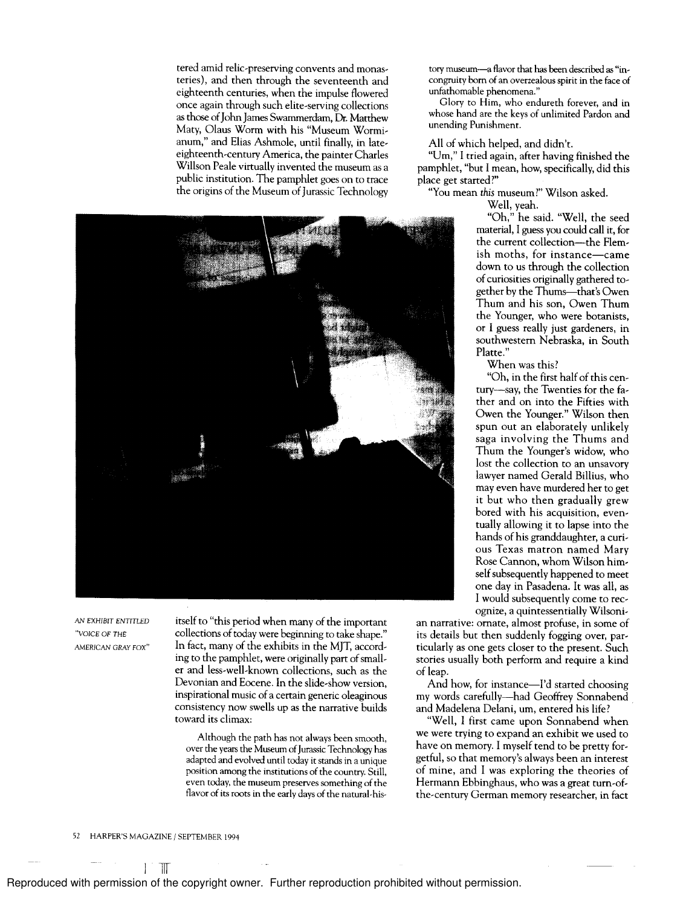tered amid relic-preserving convents and monasteries), and then through the seventeenth and eighteenth centuries, when the impulse flowered once again through such elite-serving collections as those of John James Swammerdam, Dr. Matthew Maty, Olaus Worm with his "Museum Wormianum," and Elias Ashmole, until finally, in lateeighteenth-century America, the painter Charles Willson Peale virtually invented the museum as a public institution. The pamphlet goes on to trace the origins of the Museum of Jurassic Technology



AN EXHIBIT ENTITLED "VOICE OF THE AMERICAN GRAY FOX"

itself to "this period when many of the important collections of today were beginning to take shape." In fact, many of the exhibits in the MJT, according to the pamphlet, were originally part of smaller and less-well-known collections, such as the Devonian and Eocene. In the slide-show version, inspirational music of a certain generic oleaginous consistency now swells up as the narrative builds toward its climax:

Although the path has not always been smooth, over the years the Museum of Jurassic Technology has adapted and evolved until today it stands in a unique position among the institutions of the country. Still, even today, the museum preserves something of the flavor of its roots in the early days of the natural-his-

tory museum—aflavor that has been described as "incongruity born of an overzealousspirit in the face of unfathomable phenomena."

Glory to Him, who endureth forever, and in whose hand are the keys of unlimited Pardon and unending Punishment.

All of which helped, and didn't.

"Um,"I tried again, after having finished the pamphlet, "but I mean, how, specifically, did this place get started?"

"You mean this museum?" Wilson asked.

Well, yeah.

"Oh," he said. "Well, the seed material, I guess you could call it, for the current collection—the Flemish moths, for instance—came down to us through the collection of curiosities originally gathered together by the Thums—that's Owen Thum and his son, Owen Thum the Younger, who were botanists, or <sup>I</sup> guess really just gardeners, in southwestern Nebraska, in South Platte."

When was this?

"Oh, in the first half of this century——-say, the Twenties for the father and on into the Fifties with Owen the Younger." Wilson then spun out an elaborately unlikely saga involving the Thums and Thum the Younger's widow, who lost the collection to an unsavory lawyer named Gerald Billius, who may even have murdered her to get it but who then gradually grew bored with his acquisition, eventually allowing it to lapse into the hands of his granddaughter, a curious Texas matron named Mary Rose Cannon, whom Wilson himself subsequently happened to meet one day in Pasadena. It wasall, as <sup>I</sup> would subsequently come to recognize, a quintessentially Wilsoni-

an narrative: ornate, almost profuse, in some of its details but then suddenly fogging over, particularly as one gets closer to the present. Such stories usually both perform and require a kind of leap.

And how, for instance—I'd started choosing my words carefully—had Geoffrey Sonnabend \_ and Madelena Delani, um, entered his life?

"Well, <sup>I</sup> first came upon Sonnabend when we were trying to expand an exhibit we used to have on memory. I myself tend to be pretty forgetful, so that memory's always been an interest of mine, and I was exploring the theories of Hermann Ebbinghaus, who was a great turn-ofthe-century German memory researcher, in fact

 $\mathbb T$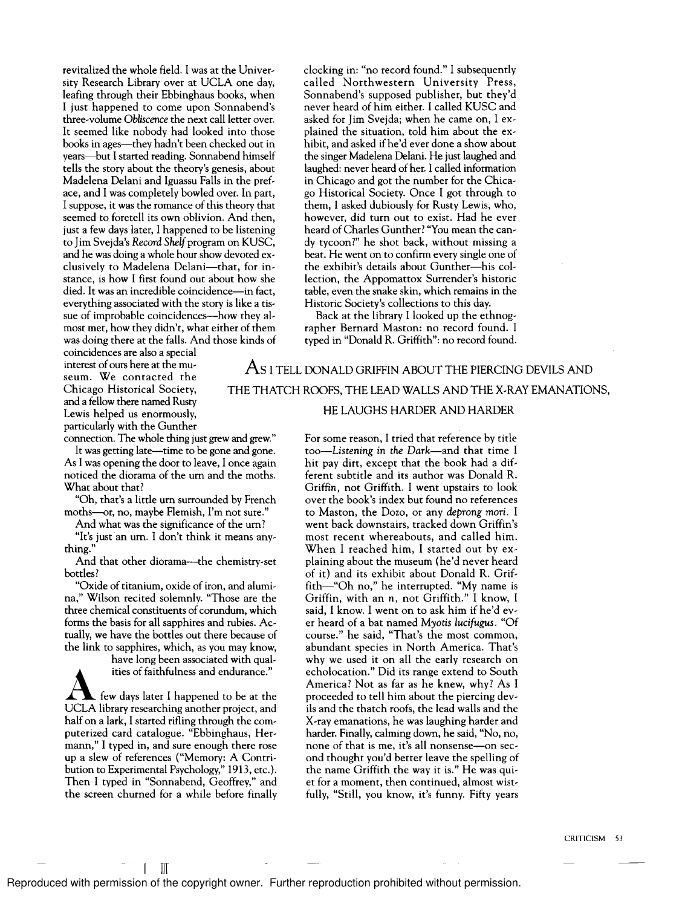revitalized the whole field. I was at the University Research Library over at UCLA one day, leafing through their Ebbinghaus books, when <sup>I</sup> just happened to come upon Sonnabend's three-volume Obliscence the next call letter over. It seemed like nobody had looked into those books in ages—they hadn't been checked out in years—but I started reading. Sonnabend himself tells the story about the theory's genesis, about Madelena Delani and Iguassu Falls in the preface, and <sup>I</sup> was completely bowled over.In part, I suppose, it was the romance of this theory that seemed to foretell its own oblivion. And then, just a few days later, I happened to be listening to Jim Svejda's Record Shelf program on KUSC, and he was doing a whole hour show devoted exclusively to Madelena Delani—that, for instance, is how <sup>I</sup> first found out about how she died. It was an incredible coincidence—in fact, everything associated with the story is like a tissue of improbable coincidences—how theyalmost met, how they didn't, what either of them was doing there at the falls. And those kinds of

coincidencesare also a special interest of ours here at the museum. We contacted the Chicago Historical Society, andafellow there named Rusty Lewis helped us enormously, particularly with the Gunther

connection. The whole thing just grew and grew."

It was getting late—time to be gone and gone. As I was opening the door to leave, I once again noticed the diorama of the urn and the moths. What about that?

"Oh, that's a little urn surrounded by French moths—or, no, maybe Flemish, I'm not sure."

And what was the significance of the urn? "It's just an urn. I don't think it means anything."

And that other diorama---the chemistry-set bottles?

"Oxide of titanium, oxide of iron, and alumina," Wilson recited solemnly. "Those are the three chemical constituents of corundum, which forms the basis for all sapphires and rubies. Actually, we have the bottles out there because of the link to sapphires, which, as you may know,

> have long been associated with qualities of faithfulness and endurance."

 $\Box$  few days later I happened to be at the UCLA library researching another project, and half on a lark, I started rifling through the computerized card catalogue. "Ebbinghaus, Hermann,"I typed in, and sure enough there rose up <sup>a</sup> slew of references ("Memory: A Contribution to Experimental Psychology," 1913, etc.). Then <sup>I</sup> typed in "Sonnabend, Geoffrey," and the screen churned for a while before finally

> $\Box$ - III

clocking in: "no record found." <sup>|</sup> subsequently called Northwestern University Press, Sonnabend's supposed publisher, but they'd never heard of him either. I called KUSC and asked for Jim Svejda; when he came on, I explained the situation, told him about the exhibit, and asked if he'd ever done a show about the singer Madelena Delani. He just laughed and laughed: never heard of her. I called information in Chicago and got the number for the Chicago Historical Society. Once <sup>I</sup> got through to them, <sup>I</sup> asked dubiously for Rusty Lewis, who, however, did turn out to exist. Had he ever heard of Charles Gunther? "You mean the candy tycoon?" he shot back, without missing a beat. He went on to confirm every single one of the exhibit's details about Gunther-his collection, the Appomattox Surrender's historic table, even the snake skin, which remains in the Historic Society's collections to this day.

Back at the library <sup>I</sup> looked up the ethnographer Bernard Maston: no record found.| typed in "Donald R. Griffith": no record found.

As <sup>1</sup> TELL DONALD GRIFFIN ABOUT THE PIERCING DEVILS AND THE THATCH ROOFS, THE LEAD WALLS AND THE X-RAY EMANATIONS,

#### HE LAUGHS HARDER AND HARDER

For some reason, I tried that reference by title too—Listening in the Dark—and that time <sup>I</sup> hit pay dirt, except that the book had a different subtitle and its author was Donald R. Griffin, not Griffith. I went upstairs to look over the book's index but found noreferences to Maston, the Dozo, or any deprong mori. <sup>I</sup> went back downstairs, tracked down Griffin's most recent whereabouts, and called him. When I reached him, I started out by explaining about the museum (he'd never heard of it) and its exhibit about Donald R. Griffith—"Oh no," he interrupted. "My name is Griffin, with an n, not Griffith." <sup>I</sup> know, <sup>I</sup> said, <sup>I</sup> know. <sup>J</sup> went on to ask him if he'd ever heard of a bat named Myotis lucifugus. "Of course." he said, "That's the most common, abundant species in North America. That's why we used it on all the early research on echolocation." Did its range extend to South America? Not as far as he knew, why? As I proceeded to tell him about the piercing devils and the thatch roofs, the lead walls and the X-ray emanations, he was laughing harder and harder. Finally, calming down, he said, "No, no, none of that is me, it's all nonsense—on second thought you'd better leave the spelling of the name Griffith the way it is." He was quiet for a moment, then continued, almost wistfully, "Still, you know, it's funny. Fifty years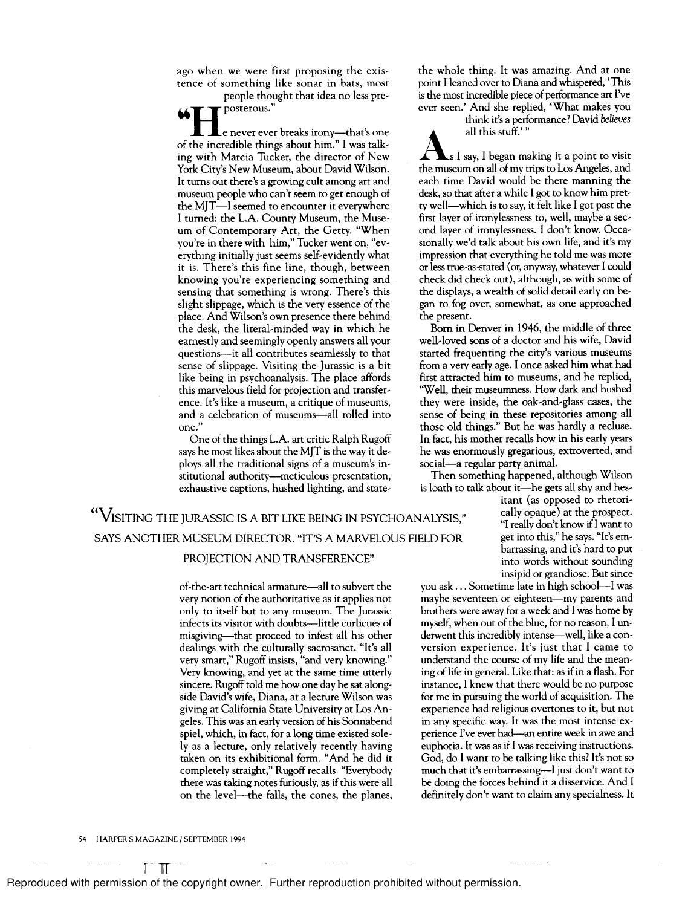ago when we were first proposing the exisago when we were first proposing the exis-<br>tence of something like sonar in bats, most<br>people thought that idea no less pre-

people thought that idea no less pre-

e never ever breaks irony—that's one of the incredible things about him." <sup>I</sup> was talking with Marcia Tucker, the director of New York City's New Museum, about David Wilson. It turns out there's a growing cult amongart and museum people who can't seem to get enough of the MJT—I seemed to encounter it everywhere <sup>I</sup> turned: the L.A. County Museum, the Museum of Contemporary Art, the Getty. "When you're in there with him," Tucker went on, "everything initially just seems self-evidently what it is. There's this fine line, though, between knowing you're experiencing something and sensing that something is wrong. There's this slight slippage, which is the very essence of the place. And Wilson's own presence there behind the desk, the literal-minded way in which he earnestly and seemingly openly answersall your questions—it all contributes seamlessly to that sense of slippage. Visiting the Jurassic is a bit like being in psychoanalysis. The place affords this marvelous field for projection and transference. It's like a museum, a critique of museums, and a celebration of museums—all rolled into one."

One of the things L.A. art critic Ralph Rugoff says he most likes about the MJT is the way it deploys all the traditional signs of a museum's institutional authority—meticulous presentation, exhaustive captions, hushed lighting, and state-

" VisITING THE JURASSIC IS A BIT LIKE BEING IN PSYCHOANALYSIS," SAYS ANOTHER MUSEUM DIRECTOR. "IT'S A MARVELOUS FIELD FOR PROJECTION AND TRANSFERENCE"

> of-the-art technical armature—all to subvert the very notion of the authoritative as it applies not only to itself but to any museum. The Jurassic infects its visitor with doubts—little curlicues of misgiving—that proceed to infest all his other dealings with the culturally sacrosanct."It's all very smart," Rugoff insists, "and very knowing." Very knowing, and yet at the same time utterly sincere. Rugoff told me how one day he sat alongside David's wife, Diana, at a lecture Wilson was giving at California State University at Los Angeles. This wasan early version of his Sonnabend spiel, which, in fact, for a long time existed solely as a lecture, only relatively recently having taken on its exhibitional form. "And he did it completely straight," Rugoff recalls. "Everybody there was taking notes furiously, as if this were all on the level—the falls, the cones, the planes,

the whole thing. It was amazing. And at one point I leaned over to Diana and whispered, 'This is the most incredible piece of performance art I've ever seen.' And she replied, 'What makes you

> think it's a performance? David believes all this stuff.'"

s I say, I began making it a point to visit the museum onall of my trips to Los Angeles, and each time David would be there manning the desk, so that after a while <sup>I</sup> got to know him pretty well—which is to say, it felt like I got past the first layer of ironylessness to, well, maybe a second layer of ironylessness. <sup>|</sup> don't know. Occasionally we'd talk about his own life, and it's my impression that everything he told me was more or less true-as-stated (or, anyway, whatever I could check did check out), although, as with some of the displays, a wealth of solid detail early on began to fog over, somewhat, as one approached the present.

Born in Denver in 1946, the middle of three well-loved sons of a doctor and his wife, David started frequenting the city's various museums from a very early age. <sup>I</sup> once asked him what had first attracted him to museums, and he replied, "Well, their museumness. How dark and hushed they were inside, the oak-and-glass cases, the sense of being in these repositories amongall those old things." But he was hardly a recluse. In fact, his mother recalls how in his early years he was enormously gregarious, extroverted, and social—a regular party animal.

Then something happened, although Wilson is loath to talk about it—hegets all shy and hes-

> itant (as opposed to rhetorically opaque) at the prospect. "I really don't know if I want to get into this," he says. "It's embarrassing, and it's hard to put into words without sounding insipid or grandiose. But since

you ask ... Sometimelate in high school—I was maybe seventeen or eighteen—my parents and brothers were away for a week and <sup>I</sup> was home by myself, when out of the blue, for no reason, I underwent this incredibly intense—well, like a conversion experience. It's just that I came to understand the course of my life and the meaning of life in general. Like that: as if in a flash. For instance, <sup>I</sup> knew that there would be no purpose for me in pursuing the world of acquisition. The experience had religious overtones to it, but not in any specific way. It was the most intense experience I've ever had—an entire week in awe and euphoria. It was as if I was receiving instructions. God, do I want to be talking like this? It's not so much that it's embarrassing—I just don't want to be doing the forces behind it a disservice. And I definitely don't want to claim any specialness. It

<sup>54</sup> HARPER'S MAGAZINE/ SEPTEMBER <sup>1994</sup>

 $\mathbb T$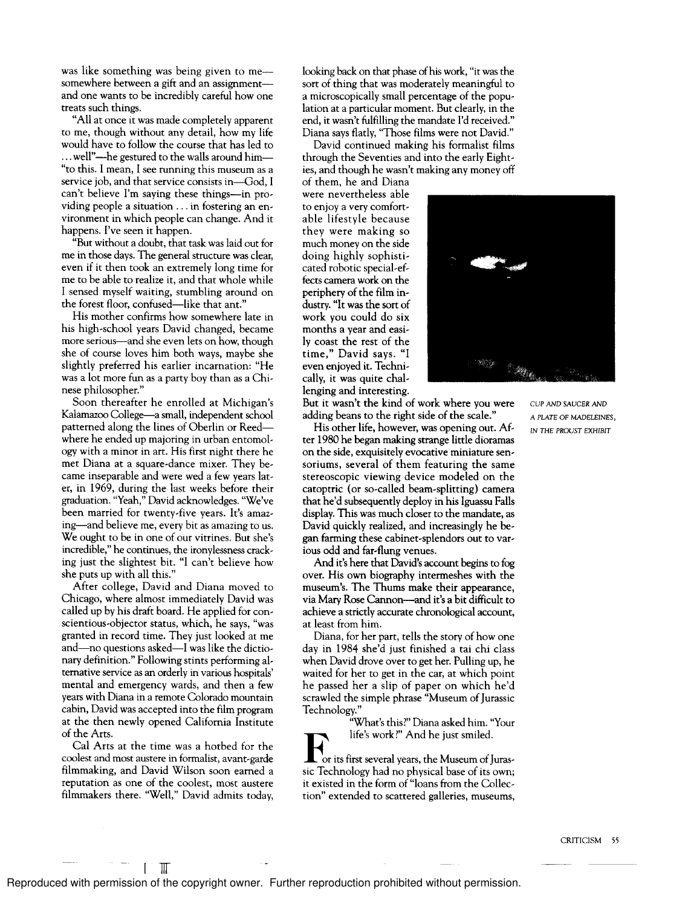was like something was being given to me somewhere between a gift and an assignmentand one wants to be incredibly careful how one treats such things.

"All at once it was made completely apparent to me, though without any detail, how mylife would have to follow the course that has led to ...well"—he gestured to the walls around him— "to this. <sup>I</sup> mean, <sup>I</sup> see running this museum as a service job, and that service consists in-God, I can't believe I'm saying these things—in providing people a situation .. . in fostering an environment in which people can change. And it happens. I've seen it happen.

"But without a doubt, that task was laid out for me in those days. The general structure was clear, even if it then took an extremely long time for me to be able to realize it, and that whole while <sup>I</sup> sensed myself waiting, stumbling around on the forest floor, confused—like that ant."

His mother confirms how somewhere late in his high-school years David changed, became more serious—and she even lets on how, though she of course loves him both ways, maybe she slightly preferred his earlier incarnation: "He was a lot more fun as a party boy than as a Chinese philosopher."

Soon thereafter he enrolled at Michigan's Kalamazoo College—a small, independent school patterned along the lines of Oberlin or Reed where he ended up majoring in urban entomology with a minor in art. His first night there he met Diana at a square-dance mixer. They be-cameinseparable and were wedafew years later, in 1969, during the last weeks before their graduation. "Yeah," David acknowledges. "We've been married for twenty-five years. It's amazing—and believe me, every bit as amazing to us. We ought to be in one of our vitrines. But she's incredible," he continues, the ironylessness cracking just the slightest bit. "I can't believe how she puts up withall this."

After college, David and Diana moved to Chicago, where almost immediately David was called up by his draft board. He applied for conscientious-objector status, which, he says, "was granted in record time. They just looked at me and—no questions asked—I was like the dictionary definition." Following stints performing alternative service as an orderly in various hospitals' mental and emergency wards, and then a few years with Diana in a remote Colorado mountain cabin, David was accepted into the film program at the then newly opened California Institute of the Arts.

Cal Arts at the time was a hotbed for the coolest and most austere in formalist, avant-garde filmmaking, and David Wilson soon earned a reputation as one of the coolest, most austere filmmakers there. "Well," David admits today,

 $\mathbb{L}^{\infty}$ 

looking back on that phase of his work, "it was the sort of thing that was moderately meaningful to a microscopically small percentage of the population at a particular moment. But clearly, in the end, it wasn't fulfilling the mandate I'd received." Diana says flatly, "Those films were not David."

David continued making his formalist films through the Seventies and into the early Eighties, and though he wasn't making any moneyoff

of them, he and Diana were nevertheless able to enjoy a very comfortable lifestyle because they were making so much money on the side doing highly sophisticated robotic special-effects camera work on the periphery of the film industry. "It was the sort of work you could do six months a year and easily coast the rest of the time," David says. "I even enjoyed it. Technically, it was quite challenging and interesting.



But it wasn't the kind of work where you were adding beans to the right side of the scale."

His other life, however, was opening out. After 1980 he began making strange little dioramas on the side, exquisitely evocative miniature sensoriums, several of them featuring the same stereoscopic viewing device modeled on the catoptric (or so-called beam-splitting) camera that he'd subsequently deploy in his Iguassu Falls display. This was much closer to the mandate, as David quickly realized, and increasingly he began farming these cabinet-splendors out to various odd and far-flung venues.

And it's here that David's account begins to fog over. His own biography intermeshes with the museum's. The Thums make their appearance, via Mary Rose Cannon—and it's a bit difficult to achieve a strictly accurate chronological account, at least from him.

Diana, for her part, tells the story of how one day in 1984 she'd just finished a tai chi class when David drove over to get her. Pulling up, he waited for her to get in the car, at which point he passed her a slip of paper on which he'd scrawled the simple phrase "Museum of Jurassic Technology." nectabling, the control of the plendors out to var-<br>plendors out to var-<br>es.<br>account begins to fog<br>termeshes with the<br>c their appearance,<br>it's a bit difficult to<br>conological account,<br>the story of how one<br>shed a tai chi cla

"What's this?" Diana asked him. "Your life's work?" And he just smiled.

or its first several years, the Museum of Jurassic Technology had no physical base of its own; it existed in the form of "loans from the Collection" extended to scattered galleries, museums, CUP AND SAUCER AND A PLATE OF MADELEINES, IN THE PROUST EXHIBIT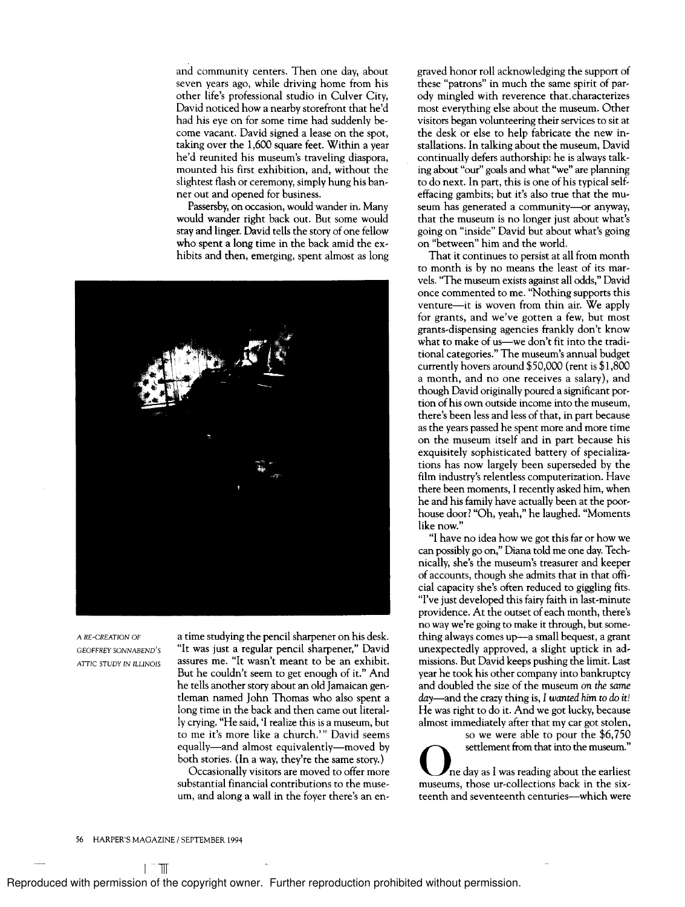and community centers. Then one day, about seven years ago, while driving home from his other life's professional studio in Culver City, David noticed how a nearby storefront that he'd had his eye on for some time had suddenly become vacant. David signed a lease on the spot, taking over the 1,600 square feet. Within a year he'd reunited his museum's traveling diaspora, mounted his first exhibition, and, without the slightest flash or ceremony, simply hung his banner out and opened for business.

Passersby, on occasion, would wander in. Many would wander right back out. But some would stay and linger. David tells the story of one fellow who spent a long time in the back amid the exhibits and then, emerging, spent almost as long



A RE-CREATION OF GEOFFREY SONNABEND'S ATTIC STUDY IN ILLINOIS

a time studying the pencil sharpener on his desk. "It was just a regular pencil sharpener," David assures me. "It wasn't meant to be an exhibit. But he couldn't seem to get enough of it." And he tells another story about an old Jamaican gentleman named John Thomas who also spent a long time in the back and then came out literally crying. "Hesaid,'I realize this is a museum, but to me it's more like <sup>a</sup> church.'" David seems equally—and almost equivalently—moved by both stories. (In a way, they're the same story.)

Occasionally visitors are moved to offer more substantial financial contributions to the museum, and along a wall in the foyer there's an en-

graved honor roll acknowledging the support of these "patrons" in much the same spirit of parody mingled with reverence that.characterizes most everything else about the museum. Other visitors began volunteering their services to sit at the desk or else to help fabricate the new installations. In talking about the museum, David continually defers authorship: he is always talking about "our" goals and what "we" are planning to do next.In part, this is one of his typical selfeffacing gambits; but it's also true that the museum has generated a community—or anyway, that the museum is no longer just about what's going on "inside" David but about what's going on "between" him and the world.

That it continues to persist at all from month to month is by no means the least of its marvels. "The museum exists againstall odds," David once commented to me. "Nothing supports this venture—it is woven from thin air. We apply for grants, and we've gotten a few, but most grants-dispensing agencies frankly don't know what to make of us—we don't fit into the traditional categories." The museum's annual budget currently hovers around \$50,000 (rent is \$1,800 a month, and no one receives a salary), and though David originally poured a significant portion of his own outside income into the museum, there's been less and less of that, in part because as the years passed he spent more and mote time on the museum itself and in part because his exquisitely sophisticated battery of specializations has now largely been superseded by the film industry's relentless computerization. Have there been moments, I recently asked him, when he and his family have actually been at the poorhouse door? "Oh, yeah," he laughed. "Moments like now."

"I have no idea how we got this far or how we can possibly go on," Diana told me one day. Technically, she's the museum's treasurer and keeper of accounts, though she admits that in that official capacity she's often reduced to giggling fits. "T've just developed thisfairy faith in last-minute providence. At the outset of each month, there's no way we're going to make it through, but something always comes up——a small bequest, a grant unexpectedly approved, a slight uptick in admissions. But David keeps pushing the limit. Last year he took his other companyinto bankruptcy and doubled the size of the museum on the same  $day$ —and the crazy thing is, I wanted him to do it! He was right to do it. And we got lucky, because almost immediately after that my cargot stolen,

so we were able to pour the \$6,750 settlement from that into the museum."

ne day as I was reading about the earliest museums, those ur-collections back in the sixteenth and seventeenth centuries—which were

 $\mathbb{T} \mathbb{T}$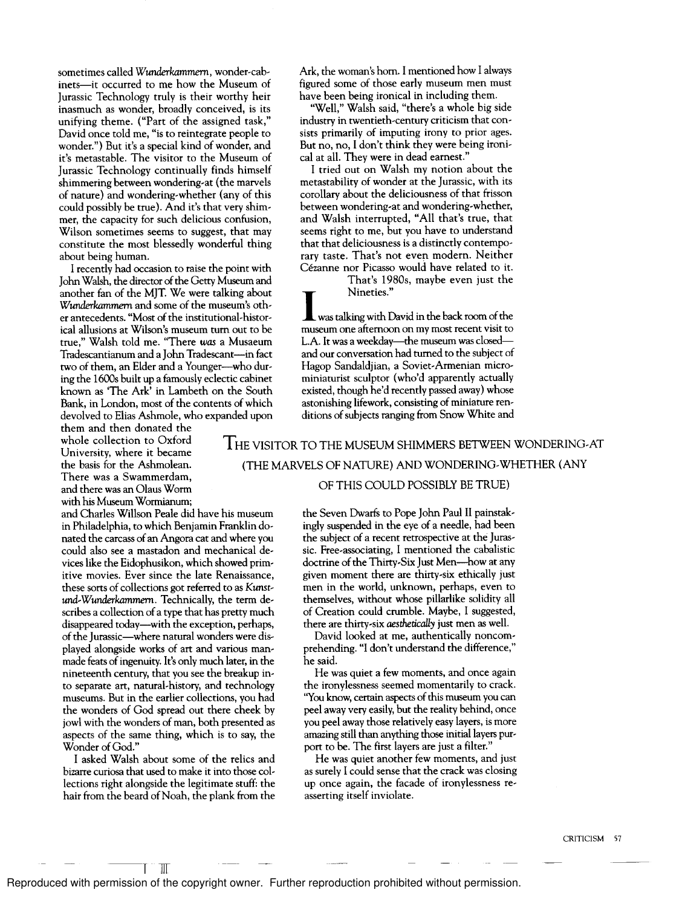sometimes called Wunderkammern, wonder-cabinets—it occurred to me how the Museum of Jurassic Technology truly is their worthy heir inasmuch as wonder, broadly conceived, is its unifying theme. ("Part of the assigned task," David once told me, "is to reintegrate people to wonder.") But it's a special kind of wonder, and it's metastable. The visitor to the Museum of Jurassic Technology continually finds himself shimmering between wondering-at (the marvels of nature) and wondering-whether (any of this could possibly be true). And it's that very shimmer, the capacity for such delicious confusion, Wilson sometimes seems to suggest, that may constitute the most blessedly wonderful thing about being human.

<sup>I</sup> recently had occasion to raise the point with John Walsh, the director of the Getty Museum and another fan of the MJT. We were talking about Wunderkammem and some of the museum's other antecedents. "Most of the institutional-historical allusions at Wilson's museum turn out to be true," Walsh told me. "There was a Musaeum Tradescantianum and a John Tradescant—infact two of them, an Elder and a Younger—who during the 1600s built up a famously eclectic cabinet known as 'The Ark' in Lambeth on the South Bank, in London, most of the contents of which devolved to Elias Ashmole, who expanded upon

them and then donated the whole collection to Oxford University, where it became the basis for the Ashmolean. There was a Swammerdam, and there was an Olaus Worm with his Museum Wormianum;

and Charles Willson Peale did have his museum in Philadelphia, to which Benjamin Franklin donated the carcass of an Angora cat and where you could also see a mastadon and mechanical devices like the Eidophusikon, which showed primitive movies. Ever since the late Renaissance, these sorts of collections got referred to as Kunstund-Wunderkammern. Technically, the term describes a collection of a type that has pretty much disappeared today—with the exception, perhaps, of the Jurassic—where natural wonders were displayed alongside works of art and various manmade feats of ingenuity. It's only much later, in the nineteenth century, that you see the breakup into separate art, natural-history, and technology museums. But in the earlier collections, you had the wonders of God spread out there cheek by jowl with the wonders of man, both presented as aspects of the same thing, which is to say, the Wonder of God."

I asked Walsh about some of the relics and bizarre curiosa that used to make it into those collections right alongside the legitimate stuff: the hair from the beard of Noah, the plank from the

 $\overline{\phantom{a}}$ 

Ark, the woman's horn. ] mentioned how <sup>I</sup> always figured some of those early museum men must have been being ironical in including them.

"Well," Walsh said, "there's a whole big side industry in twentieth-century criticism that consists primarily of imputing irony to prior ages. But no, no, I don't think they were being ironical at all. They were in dead earnest."

<sup>I</sup> tried out on Walsh my notion about the metastability of wonder at the Jurassic, with its corollary about the deliciousness of that frisson between wondering-at and wondering-whether, and Walsh interrupted, "All that's true, that seems right to me, but you have to understand that that deliciousness is a distinctly contemporary taste. That's not even modern. Neither Cézanne nor Picasso would have related to it.

That's 1980s, maybe even just the Nineties."

 ${\mathsf L}$  was talking with David in the back room of the museum one afternoon on my most recent visit to L.A.It was a weekday—the museum was closed and our conversation had turned to the subject of Hagop Sandaldjian, a Soviet-Armenian microminiaturist sculptor (who'd apparently actually existed, though he'd recently passed away) whose astonishing lifework, consisting of miniature renditions of subjects ranging from Snow White and

### OF THIS COULD POSSIBLY BE TRUE) I HE VISITOR TO THE MUSEUM SHIMMERS BETWEEN WONDERING-AT (THE MARVELS OF NATURE) AND WONDERING-WHETHER (ANY

the Seven Dwarfs to Pope John Paul II painstakingly suspended in the eye of a needle, had been the subject of a recent retrospective at the Jurassic. Free-associating, I mentioned the cabalistic doctrine of the Thirty-Six Just Men—howat any given moment there are thirty-six ethically just men in the world, unknown, perhaps, even to themselves, without whose pillarlike solidity all of Creation could crumble. Maybe, I suggested, there are thirty-six aesthetically just men as well.

David looked at me, authentically noncomprehending. "I don't understand the difference," he said.

He was quiet <sup>a</sup> few moments, and once again the ironylessness seemed momentarily to crack. "You know, certain aspects of this museum you can peel away very easily, but the reality behind, once you peel away those relatively easy layers, is more amazing still than anything those initial layers purport to be. The first layers are just a filter."

He was quiet another few moments, and just as surely I could sense that the crack was closing up once again, the facade of ironylessness reasserting itself inviolate.